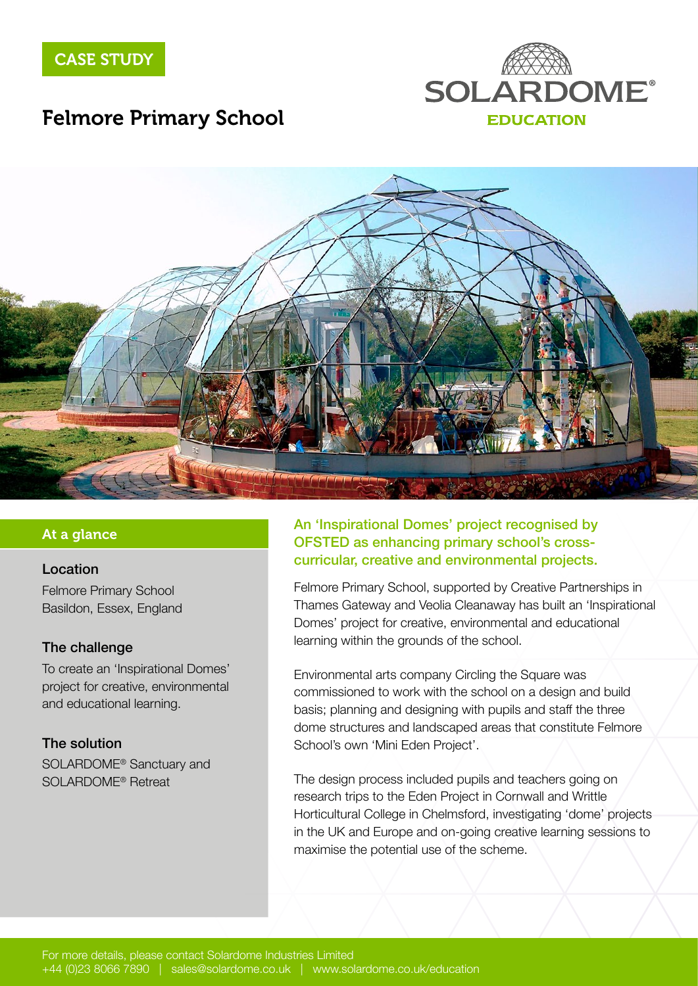

# Felmore Primary School



### At a glance

#### Location

[Felmore Primary School](http://www.felmore-pri.essex.sch.uk/) Basildon, Essex, England

#### The challenge

To create an 'Inspirational Domes' project for creative, environmental and educational learning.

#### The solution

SOLARDOME® Sanctuary and SOLARDOME® Retreat

### An 'Inspirational Domes' project recognised by OFSTED as enhancing primary school's crosscurricular, creative and environmental projects.

Felmore Primary School, supported by Creative Partnerships in Thames Gateway and Veolia Cleanaway has built an 'Inspirational Domes' project for creative, environmental and educational learning within the grounds of the school.

Environmental arts company Circling the Square was commissioned to work with the school on a design and build basis; planning and designing with pupils and staff the three dome structures and landscaped areas that constitute Felmore School's own 'Mini Eden Project'.

The design process included pupils and teachers going on research trips to the Eden Project in Cornwall and Writtle Horticultural College in Chelmsford, investigating 'dome' projects in the UK and Europe and on-going creative learning sessions to maximise the potential use of the scheme.